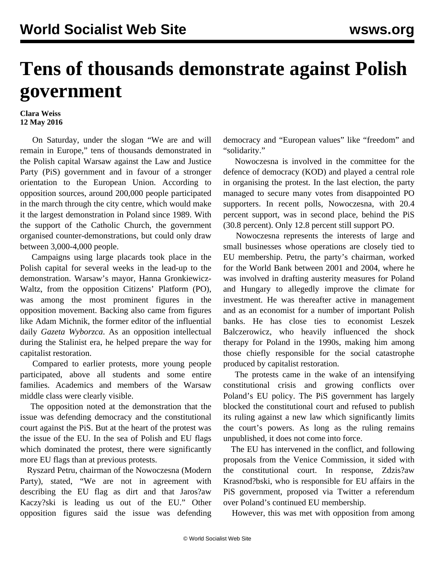## **Tens of thousands demonstrate against Polish government**

## **Clara Weiss 12 May 2016**

 On Saturday, under the slogan "We are and will remain in Europe," tens of thousands demonstrated in the Polish capital Warsaw against the Law and Justice Party (PiS) government and in favour of a stronger orientation to the European Union. According to opposition sources, around 200,000 people participated in the march through the city centre, which would make it the largest demonstration in Poland since 1989. With the support of the Catholic Church, the government organised counter-demonstrations, but could only draw between 3,000-4,000 people.

 Campaigns using large placards took place in the Polish capital for several weeks in the lead-up to the demonstration. Warsaw's mayor, Hanna Gronkiewicz-Waltz, from the opposition Citizens' Platform (PO), was among the most prominent figures in the opposition movement. Backing also came from figures like Adam Michnik, the former editor of the influential daily *Gazeta Wyborzca*. As an opposition intellectual during the Stalinist era, he helped prepare the way for capitalist restoration.

 Compared to earlier protests, more young people participated, above all students and some entire families. Academics and members of the Warsaw middle class were clearly visible.

 The opposition noted at the demonstration that the issue was defending democracy and the constitutional court against the PiS. But at the heart of the protest was the issue of the EU. In the sea of Polish and EU flags which dominated the protest, there were significantly more EU flags than at previous protests.

 Ryszard Petru, chairman of the Nowoczesna (Modern Party), stated, "We are not in agreement with describing the EU flag as dirt and that Jaros?aw Kaczy?ski is leading us out of the EU." Other opposition figures said the issue was defending

democracy and "European values" like "freedom" and "solidarity."

 Nowoczesna is involved in the committee for the defence of democracy (KOD) and played a central role in organising the protest. In the last election, the party managed to secure many votes from disappointed PO supporters. In recent polls, Nowoczesna, with 20.4 percent support, was in second place, behind the PiS (30.8 percent). Only 12.8 percent still support PO.

 Nowoczesna represents the interests of large and small businesses whose operations are closely tied to EU membership. Petru, the party's chairman, worked for the World Bank between 2001 and 2004, where he was involved in drafting austerity measures for Poland and Hungary to allegedly improve the climate for investment. He was thereafter active in management and as an economist for a number of important Polish banks. He has close ties to economist Leszek Balczerowicz, who heavily influenced the shock therapy for Poland in the 1990s, making him among those chiefly responsible for the social catastrophe produced by capitalist restoration.

 The protests came in the wake of an intensifying constitutional crisis and growing conflicts over Poland's EU policy. The PiS government has largely blocked the constitutional court and refused to publish its ruling against a new law which significantly limits the court's powers. As long as the ruling remains unpublished, it does not come into force.

 The EU has intervened in the conflict, and following proposals from the Venice Commission, it sided with the constitutional court. In response, Zdzis?aw Krasnod?bski, who is responsible for EU affairs in the PiS government, proposed via Twitter a referendum over Poland's continued EU membership.

However, this was met with opposition from among